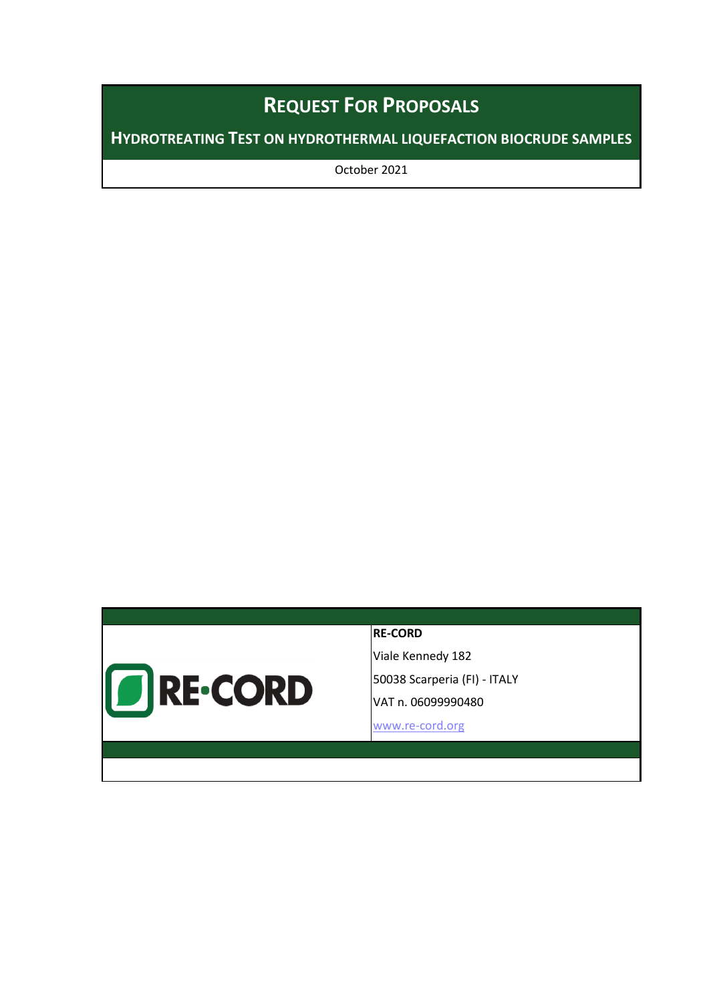# **REQUEST FOR PROPOSALS**

**HYDROTREATING TEST ON HYDROTHERMAL LIQUEFACTION BIOCRUDE SAMPLES**

October 2021



#### **RE-CORD**

Viale Kennedy 182 50038 Scarperia (FI) - ITALY VAT n. 06099990480

[www.re-cord.org](http://www.re-cord.org%0dinfo@re-cord.org)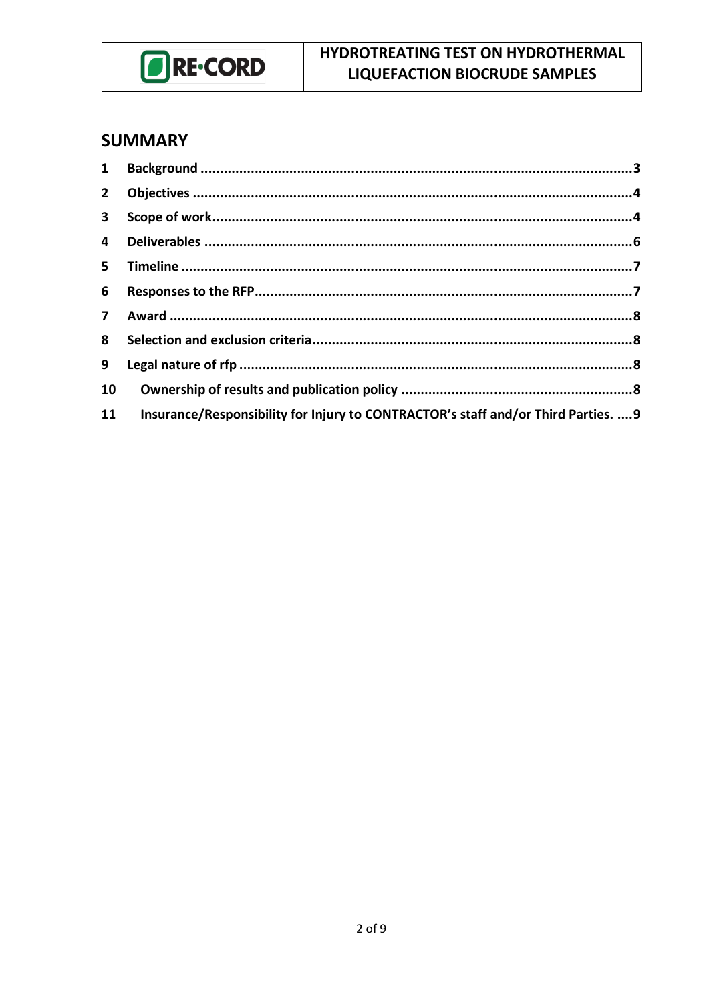

### **SUMMARY**

| $\mathbf{1}$   |                                                                                    |  |
|----------------|------------------------------------------------------------------------------------|--|
| 2 <sup>7</sup> |                                                                                    |  |
| $\mathbf{3}$   |                                                                                    |  |
| $\overline{4}$ |                                                                                    |  |
| $5 -$          |                                                                                    |  |
| 6              |                                                                                    |  |
|                |                                                                                    |  |
| 8              |                                                                                    |  |
| 9              |                                                                                    |  |
| 10             |                                                                                    |  |
| 11             | Insurance/Responsibility for Injury to CONTRACTOR's staff and/or Third Parties.  9 |  |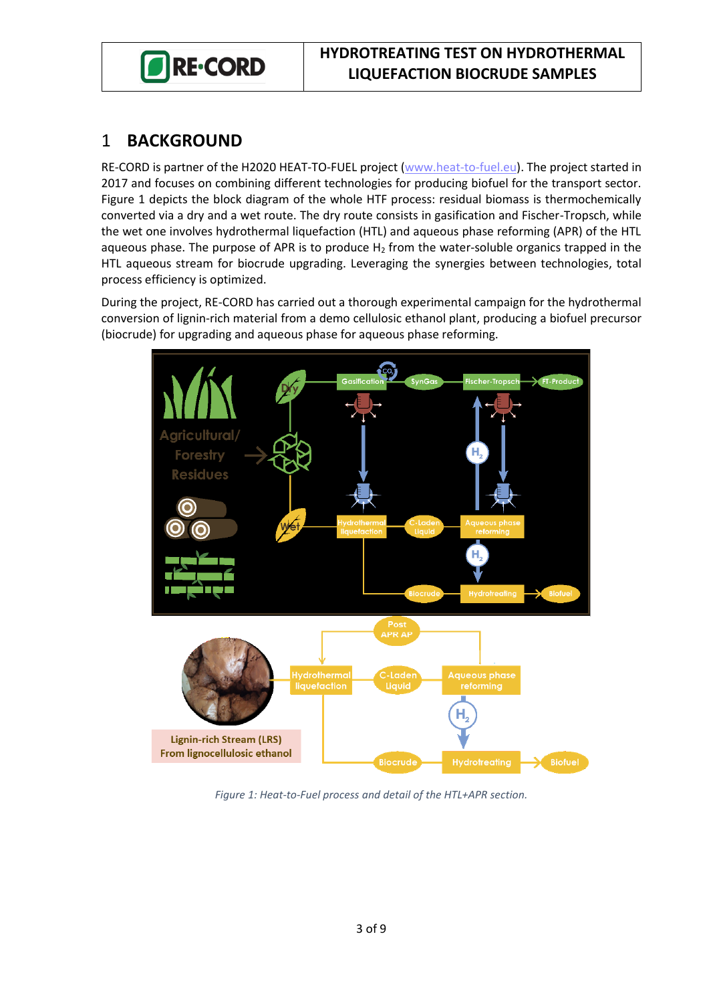

#### <span id="page-2-0"></span>1 **BACKGROUND**

RE-CORD is partner of the H2020 HEAT-TO-FUEL project [\(www.heat-to-fuel.eu\)](http://www.heat-to-fuel.eu/). The project started in 2017 and focuses on combining different technologies for producing biofuel for the transport sector. [Figure 1](#page-2-1) depicts the block diagram of the whole HTF process: residual biomass is thermochemically converted via a dry and a wet route. The dry route consists in gasification and Fischer-Tropsch, while the wet one involves hydrothermal liquefaction (HTL) and aqueous phase reforming (APR) of the HTL aqueous phase. The purpose of APR is to produce  $H_2$  from the water-soluble organics trapped in the HTL aqueous stream for biocrude upgrading. Leveraging the synergies between technologies, total process efficiency is optimized.

During the project, RE-CORD has carried out a thorough experimental campaign for the hydrothermal conversion of lignin-rich material from a demo cellulosic ethanol plant, producing a biofuel precursor (biocrude) for upgrading and aqueous phase for aqueous phase reforming.



<span id="page-2-1"></span>*Figure 1: Heat-to-Fuel process and detail of the HTL+APR section.*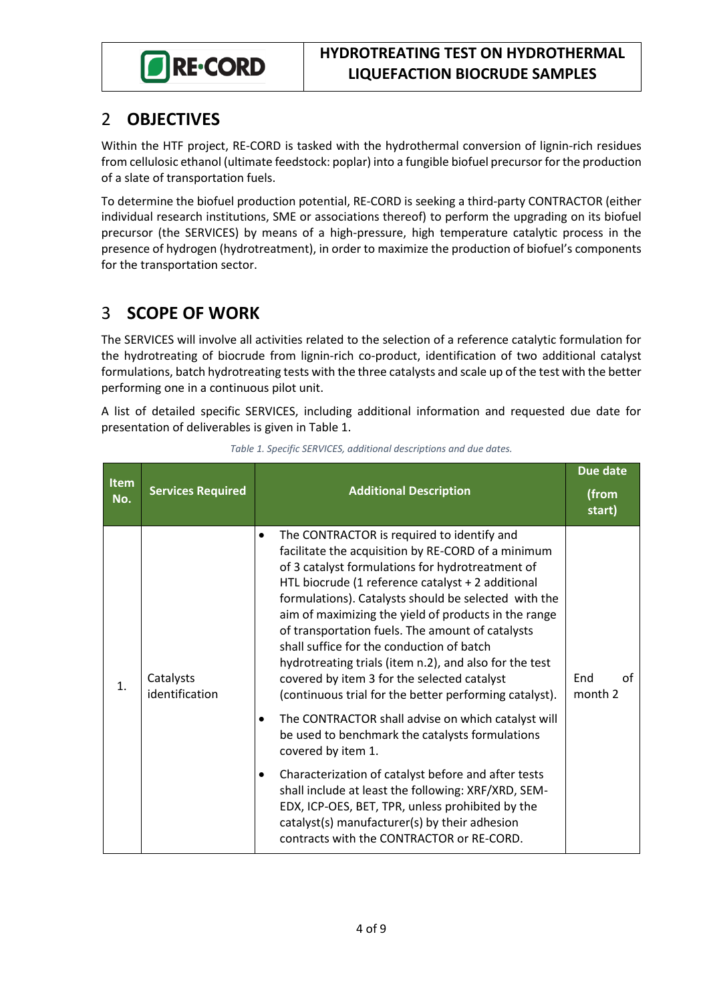

### <span id="page-3-0"></span>2 **OBJECTIVES**

Within the HTF project, RE-CORD is tasked with the hydrothermal conversion of lignin-rich residues from cellulosic ethanol (ultimate feedstock: poplar) into a fungible biofuel precursor for the production of a slate of transportation fuels.

To determine the biofuel production potential, RE-CORD is seeking a third-party CONTRACTOR (either individual research institutions, SME or associations thereof) to perform the upgrading on its biofuel precursor (the SERVICES) by means of a high-pressure, high temperature catalytic process in the presence of hydrogen (hydrotreatment), in order to maximize the production of biofuel's components for the transportation sector.

# <span id="page-3-1"></span>3 **SCOPE OF WORK**

The SERVICES will involve all activities related to the selection of a reference catalytic formulation for the hydrotreating of biocrude from lignin-rich co-product, identification of two additional catalyst formulations, batch hydrotreating tests with the three catalysts and scale up of the test with the better performing one in a continuous pilot unit.

A list of detailed specific SERVICES, including additional information and requested due date for presentation of deliverables is given i[n Table 1.](#page-3-2)

<span id="page-3-2"></span>

|                    |                             |                                                                                                                                                                                                                                                                                                                                                                                                                                                                                                                                                                                               | <b>Due date</b>      |
|--------------------|-----------------------------|-----------------------------------------------------------------------------------------------------------------------------------------------------------------------------------------------------------------------------------------------------------------------------------------------------------------------------------------------------------------------------------------------------------------------------------------------------------------------------------------------------------------------------------------------------------------------------------------------|----------------------|
| <b>Item</b><br>No. | <b>Services Required</b>    | <b>Additional Description</b>                                                                                                                                                                                                                                                                                                                                                                                                                                                                                                                                                                 | (from<br>start)      |
| 1.                 | Catalysts<br>identification | The CONTRACTOR is required to identify and<br>facilitate the acquisition by RE-CORD of a minimum<br>of 3 catalyst formulations for hydrotreatment of<br>HTL biocrude (1 reference catalyst + 2 additional<br>formulations). Catalysts should be selected with the<br>aim of maximizing the yield of products in the range<br>of transportation fuels. The amount of catalysts<br>shall suffice for the conduction of batch<br>hydrotreating trials (item n.2), and also for the test<br>covered by item 3 for the selected catalyst<br>(continuous trial for the better performing catalyst). | End<br>οf<br>month 2 |
|                    |                             | The CONTRACTOR shall advise on which catalyst will<br>$\bullet$<br>be used to benchmark the catalysts formulations<br>covered by item 1.                                                                                                                                                                                                                                                                                                                                                                                                                                                      |                      |
|                    |                             | Characterization of catalyst before and after tests<br>shall include at least the following: XRF/XRD, SEM-<br>EDX, ICP-OES, BET, TPR, unless prohibited by the<br>catalyst(s) manufacturer(s) by their adhesion<br>contracts with the CONTRACTOR or RE-CORD.                                                                                                                                                                                                                                                                                                                                  |                      |

*Table 1. Specific SERVICES, additional descriptions and due dates.*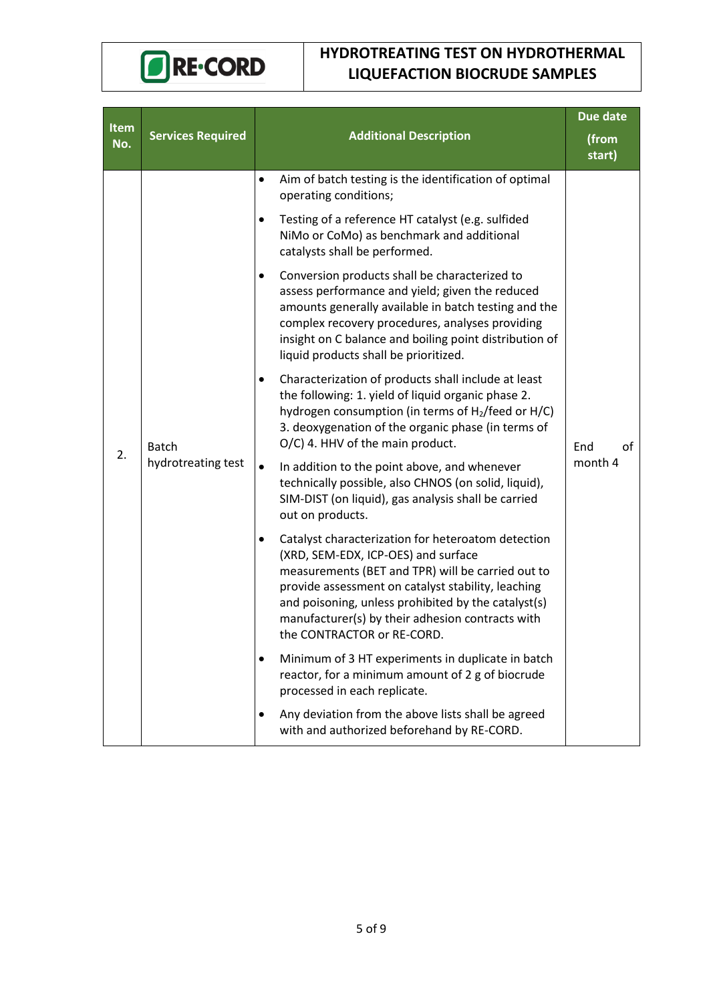

#### **HYDROTREATING TEST ON HYDROTHERMAL LIQUEFACTION BIOCRUDE SAMPLES**

| Item |                                                                                                                                                                                                                                                                                                                                                                                                                                                   |                                                                                                                                                                                                                                                                                                                                               | Due date             |
|------|---------------------------------------------------------------------------------------------------------------------------------------------------------------------------------------------------------------------------------------------------------------------------------------------------------------------------------------------------------------------------------------------------------------------------------------------------|-----------------------------------------------------------------------------------------------------------------------------------------------------------------------------------------------------------------------------------------------------------------------------------------------------------------------------------------------|----------------------|
| No.  | <b>Services Required</b>                                                                                                                                                                                                                                                                                                                                                                                                                          | <b>Additional Description</b>                                                                                                                                                                                                                                                                                                                 | (from<br>start)      |
|      | $\bullet$<br>operating conditions;<br>Testing of a reference HT catalyst (e.g. sulfided<br>٠<br>NiMo or CoMo) as benchmark and additional<br>catalysts shall be performed.<br>Conversion products shall be characterized to<br>٠<br>liquid products shall be prioritized.<br>$\bullet$<br>O/C) 4. HHV of the main product.<br><b>Batch</b><br>hydrotreating test<br>$\bullet$<br>In addition to the point above, and whenever<br>out on products. | Aim of batch testing is the identification of optimal                                                                                                                                                                                                                                                                                         | οf<br>End<br>month 4 |
|      |                                                                                                                                                                                                                                                                                                                                                                                                                                                   |                                                                                                                                                                                                                                                                                                                                               |                      |
|      |                                                                                                                                                                                                                                                                                                                                                                                                                                                   | assess performance and yield; given the reduced<br>amounts generally available in batch testing and the<br>complex recovery procedures, analyses providing<br>insight on C balance and boiling point distribution of                                                                                                                          |                      |
| 2.   |                                                                                                                                                                                                                                                                                                                                                                                                                                                   | Characterization of products shall include at least<br>the following: 1. yield of liquid organic phase 2.<br>hydrogen consumption (in terms of H <sub>2</sub> /feed or H/C)<br>3. deoxygenation of the organic phase (in terms of                                                                                                             |                      |
|      |                                                                                                                                                                                                                                                                                                                                                                                                                                                   | technically possible, also CHNOS (on solid, liquid),<br>SIM-DIST (on liquid), gas analysis shall be carried                                                                                                                                                                                                                                   |                      |
|      |                                                                                                                                                                                                                                                                                                                                                                                                                                                   | Catalyst characterization for heteroatom detection<br>(XRD, SEM-EDX, ICP-OES) and surface<br>measurements (BET and TPR) will be carried out to<br>provide assessment on catalyst stability, leaching<br>and poisoning, unless prohibited by the catalyst(s)<br>manufacturer(s) by their adhesion contracts with<br>the CONTRACTOR or RE-CORD. |                      |
|      |                                                                                                                                                                                                                                                                                                                                                                                                                                                   | Minimum of 3 HT experiments in duplicate in batch<br>reactor, for a minimum amount of 2 g of biocrude<br>processed in each replicate.                                                                                                                                                                                                         |                      |
|      |                                                                                                                                                                                                                                                                                                                                                                                                                                                   | Any deviation from the above lists shall be agreed<br>٠<br>with and authorized beforehand by RE-CORD.                                                                                                                                                                                                                                         |                      |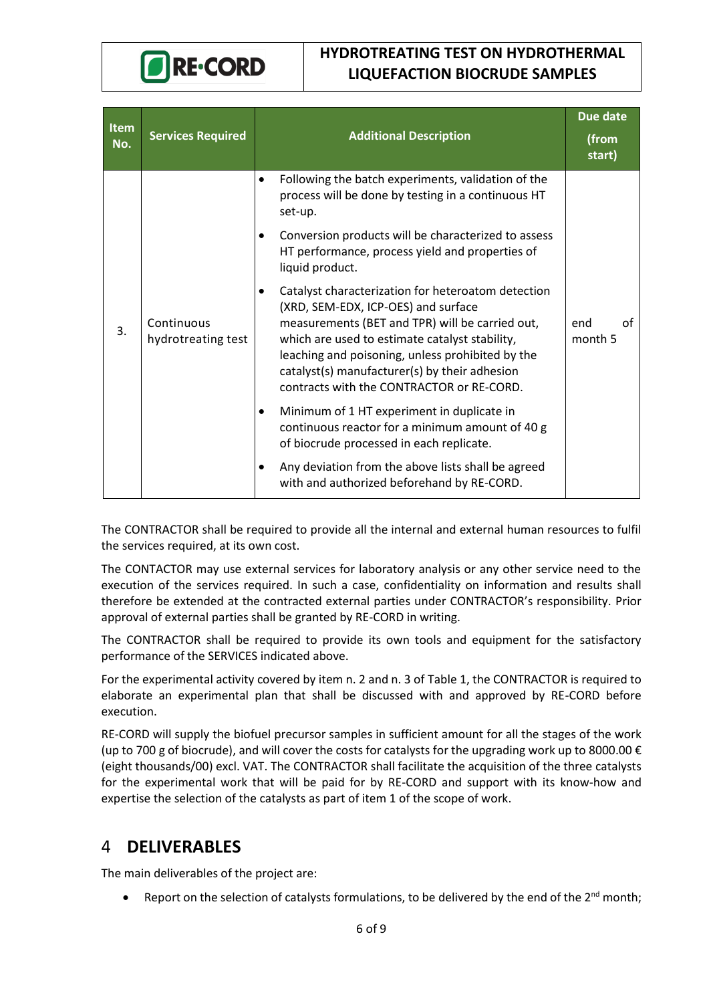

#### **HYDROTREATING TEST ON HYDROTHERMAL LIQUEFACTION BIOCRUDE SAMPLES**

| <b>Item</b><br>No. | <b>Services Required</b>         | <b>Additional Description</b>                                                                                                                                                                                                                                                                                                                    | <b>Due date</b><br>(from<br>start) |
|--------------------|----------------------------------|--------------------------------------------------------------------------------------------------------------------------------------------------------------------------------------------------------------------------------------------------------------------------------------------------------------------------------------------------|------------------------------------|
|                    |                                  | Following the batch experiments, validation of the<br>$\bullet$<br>process will be done by testing in a continuous HT<br>set-up.                                                                                                                                                                                                                 |                                    |
|                    |                                  | Conversion products will be characterized to assess<br>HT performance, process yield and properties of<br>liquid product.                                                                                                                                                                                                                        |                                    |
| 3.                 | Continuous<br>hydrotreating test | Catalyst characterization for heteroatom detection<br>(XRD, SEM-EDX, ICP-OES) and surface<br>measurements (BET and TPR) will be carried out,<br>which are used to estimate catalyst stability,<br>leaching and poisoning, unless prohibited by the<br>catalyst(s) manufacturer(s) by their adhesion<br>contracts with the CONTRACTOR or RE-CORD. | οf<br>end<br>month 5               |
|                    |                                  | Minimum of 1 HT experiment in duplicate in<br>٠<br>continuous reactor for a minimum amount of 40 g<br>of biocrude processed in each replicate.                                                                                                                                                                                                   |                                    |
|                    |                                  | Any deviation from the above lists shall be agreed<br>with and authorized beforehand by RE-CORD.                                                                                                                                                                                                                                                 |                                    |

The CONTRACTOR shall be required to provide all the internal and external human resources to fulfil the services required, at its own cost.

The CONTACTOR may use external services for laboratory analysis or any other service need to the execution of the services required. In such a case, confidentiality on information and results shall therefore be extended at the contracted external parties under CONTRACTOR's responsibility. Prior approval of external parties shall be granted by RE-CORD in writing.

The CONTRACTOR shall be required to provide its own tools and equipment for the satisfactory performance of the SERVICES indicated above.

For the experimental activity covered by item n. 2 and n. 3 of [Table 1,](#page-3-2) the CONTRACTOR is required to elaborate an experimental plan that shall be discussed with and approved by RE-CORD before execution.

RE-CORD will supply the biofuel precursor samples in sufficient amount for all the stages of the work (up to 700 g of biocrude), and will cover the costs for catalysts for the upgrading work up to 8000.00 € (eight thousands/00) excl. VAT. The CONTRACTOR shall facilitate the acquisition of the three catalysts for the experimental work that will be paid for by RE-CORD and support with its know-how and expertise the selection of the catalysts as part of item 1 of the scope of work.

#### <span id="page-5-0"></span>4 **DELIVERABLES**

The main deliverables of the project are:

• Report on the selection of catalysts formulations, to be delivered by the end of the 2<sup>nd</sup> month;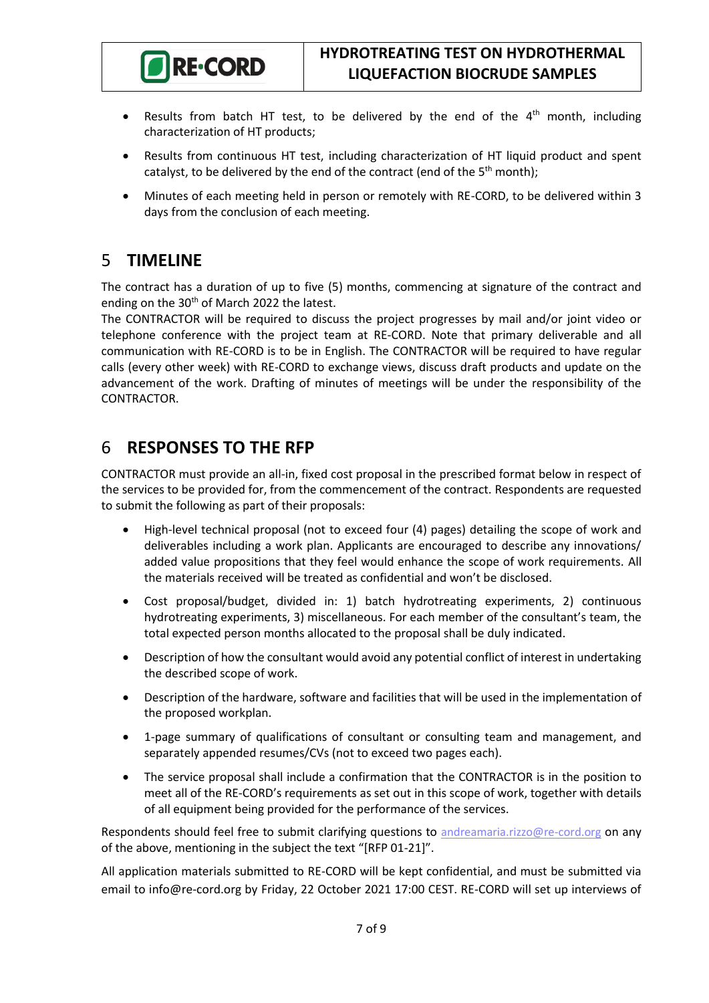

- Results from batch HT test, to be delivered by the end of the 4<sup>th</sup> month, including characterization of HT products;
- Results from continuous HT test, including characterization of HT liquid product and spent catalyst, to be delivered by the end of the contract (end of the  $5<sup>th</sup>$  month);
- Minutes of each meeting held in person or remotely with RE-CORD, to be delivered within 3 days from the conclusion of each meeting.

### <span id="page-6-0"></span>5 **TIMELINE**

The contract has a duration of up to five (5) months, commencing at signature of the contract and ending on the 30<sup>th</sup> of March 2022 the latest.

The CONTRACTOR will be required to discuss the project progresses by mail and/or joint video or telephone conference with the project team at RE-CORD. Note that primary deliverable and all communication with RE-CORD is to be in English. The CONTRACTOR will be required to have regular calls (every other week) with RE-CORD to exchange views, discuss draft products and update on the advancement of the work. Drafting of minutes of meetings will be under the responsibility of the CONTRACTOR.

### <span id="page-6-1"></span>6 **RESPONSES TO THE RFP**

CONTRACTOR must provide an all-in, fixed cost proposal in the prescribed format below in respect of the services to be provided for, from the commencement of the contract. Respondents are requested to submit the following as part of their proposals:

- High-level technical proposal (not to exceed four (4) pages) detailing the scope of work and deliverables including a work plan. Applicants are encouraged to describe any innovations/ added value propositions that they feel would enhance the scope of work requirements. All the materials received will be treated as confidential and won't be disclosed.
- Cost proposal/budget, divided in: 1) batch hydrotreating experiments, 2) continuous hydrotreating experiments, 3) miscellaneous. For each member of the consultant's team, the total expected person months allocated to the proposal shall be duly indicated.
- Description of how the consultant would avoid any potential conflict of interest in undertaking the described scope of work.
- Description of the hardware, software and facilities that will be used in the implementation of the proposed workplan.
- 1-page summary of qualifications of consultant or consulting team and management, and separately appended resumes/CVs (not to exceed two pages each).
- The service proposal shall include a confirmation that the CONTRACTOR is in the position to meet all of the RE-CORD's requirements as set out in this scope of work, together with details of all equipment being provided for the performance of the services.

Respondents should feel free to submit clarifying questions to [andreamaria.rizzo@re-cord.](mailto:info@re-cord.org?subject=[RFP%2001-2020])org on any of the above, mentioning in the subject the text "[RFP 01-21]".

All application materials submitted to RE-CORD will be kept confidential, and must be submitted via email to info@re-cord.org by Friday, 22 October 2021 17:00 CEST. RE-CORD will set up interviews of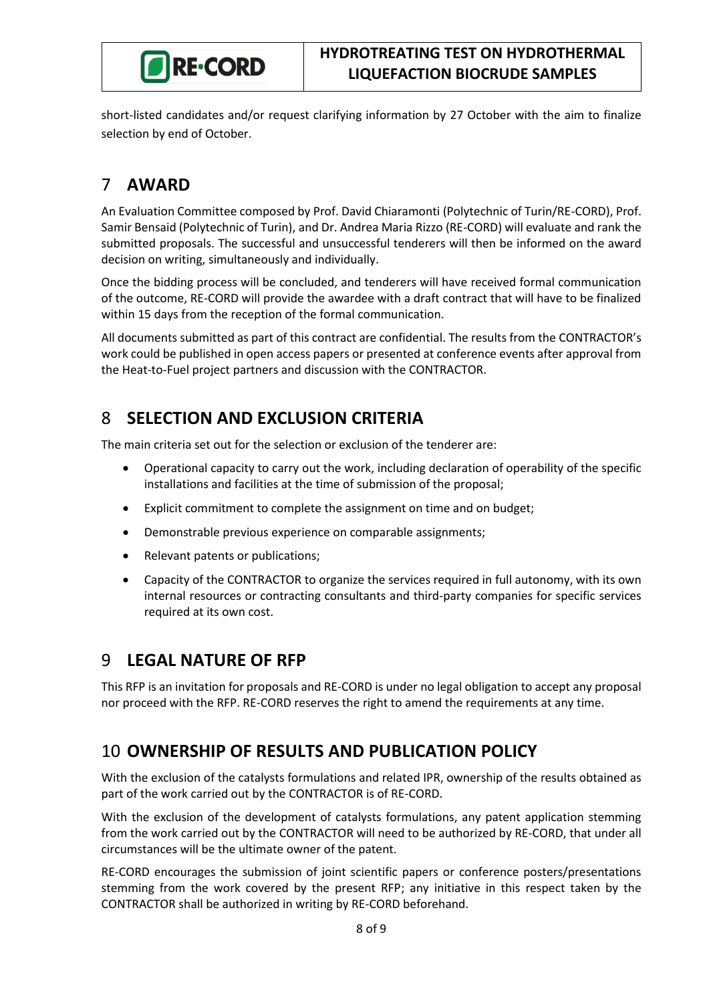

short-listed candidates and/or request clarifying information by 27 October with the aim to finalize selection by end of October.

# <span id="page-7-0"></span>7 **AWARD**

An Evaluation Committee composed by Prof. David Chiaramonti (Polytechnic of Turin/RE-CORD), Prof. Samir Bensaid (Polytechnic of Turin), and Dr. Andrea Maria Rizzo (RE-CORD) will evaluate and rank the submitted proposals. The successful and unsuccessful tenderers will then be informed on the award decision on writing, simultaneously and individually.

Once the bidding process will be concluded, and tenderers will have received formal communication of the outcome, RE-CORD will provide the awardee with a draft contract that will have to be finalized within 15 days from the reception of the formal communication.

All documents submitted as part of this contract are confidential. The results from the CONTRACTOR's work could be published in open access papers or presented at conference events after approval from the Heat-to-Fuel project partners and discussion with the CONTRACTOR.

# <span id="page-7-1"></span>8 **SELECTION AND EXCLUSION CRITERIA**

The main criteria set out for the selection or exclusion of the tenderer are:

- Operational capacity to carry out the work, including declaration of operability of the specific installations and facilities at the time of submission of the proposal;
- Explicit commitment to complete the assignment on time and on budget;
- Demonstrable previous experience on comparable assignments;
- Relevant patents or publications;
- Capacity of the CONTRACTOR to organize the services required in full autonomy, with its own internal resources or contracting consultants and third-party companies for specific services required at its own cost.

### <span id="page-7-2"></span>9 **LEGAL NATURE OF RFP**

This RFP is an invitation for proposals and RE-CORD is under no legal obligation to accept any proposal nor proceed with the RFP. RE-CORD reserves the right to amend the requirements at any time.

# <span id="page-7-3"></span>10 **OWNERSHIP OF RESULTS AND PUBLICATION POLICY**

With the exclusion of the catalysts formulations and related IPR, ownership of the results obtained as part of the work carried out by the CONTRACTOR is of RE-CORD.

With the exclusion of the development of catalysts formulations, any patent application stemming from the work carried out by the CONTRACTOR will need to be authorized by RE-CORD, that under all circumstances will be the ultimate owner of the patent.

RE-CORD encourages the submission of joint scientific papers or conference posters/presentations stemming from the work covered by the present RFP; any initiative in this respect taken by the CONTRACTOR shall be authorized in writing by RE-CORD beforehand.